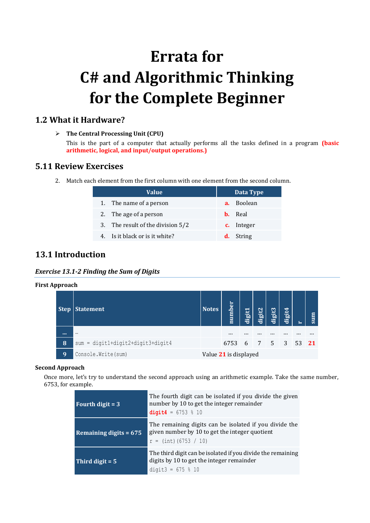# **Errata for C# and Algorithmic Thinking for the Complete Beginner**

## **1.2 What it Hardware?**

**The Central Processing Unit (CPU)**

This is the part of a computer that actually performs all the tasks defined in a program **(basic arithmetic, logical, and input/output operations.)**

## **5.11 Review Exercises**

2. Match each element from the first column with one element from the second column.

| Value                             | Data Type      |  |  |  |
|-----------------------------------|----------------|--|--|--|
| 1. The name of a person           | a. Boolean     |  |  |  |
| 2. The age of a person            | <b>b.</b> Real |  |  |  |
| 3. The result of the division 5/2 | c. Integer     |  |  |  |
| 4. Is it black or is it white?    | String<br>d. - |  |  |  |

# **13.1 Introduction**

*Exercise 13.1-2 Finding the Sum of Digits*

| <b>First Approach</b> |            |                                     |                       |          |        |               |        |        |   |     |
|-----------------------|------------|-------------------------------------|-----------------------|----------|--------|---------------|--------|--------|---|-----|
|                       |            | Step Statement                      | <b>Notes</b>          | number   | digit1 | digit2        | digit3 | digit4 | ⊢ | sum |
|                       | <b>THE</b> | $\cdots$                            |                       | $\cdots$ |        |               |        |        |   |     |
|                       | 8          | $sum = digit1+digit2+digit3+digit4$ |                       | 6753     |        | 6 7 5 3 53 21 |        |        |   |     |
|                       | <b>9</b>   | Console. Write (sum)                | Value 21 is displayed |          |        |               |        |        |   |     |

#### **Second Approach**

Once more, let's try to understand the second approach using an arithmetic example. Take the same number, 6753, for example.

| Fourth digit $=$ 3        | The fourth digit can be isolated if you divide the given<br>number by 10 to get the integer remainder<br>digit4 = $6753 % 10$       |  |  |  |
|---------------------------|-------------------------------------------------------------------------------------------------------------------------------------|--|--|--|
| Remaining digits = $675'$ | The remaining digits can be isolated if you divide the<br>given number by 10 to get the integer quotient<br>$r = (int) (6753 / 10)$ |  |  |  |
| Third digit $= 5$         | The third digit can be isolated if you divide the remaining<br>digits by 10 to get the integer remainder<br>digit3 = $675 % 10$     |  |  |  |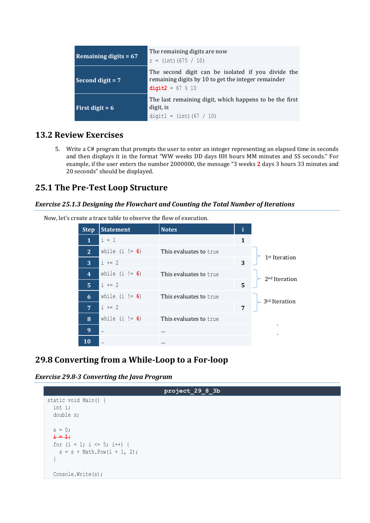| Remaining digits $= 67$ | The remaining digits are now<br>$r = (int) (675 / 10)$                                                                          |  |  |  |
|-------------------------|---------------------------------------------------------------------------------------------------------------------------------|--|--|--|
| Second digit $= 7$      | The second digit can be isolated if you divide the<br>remaining digits by 10 to get the integer remainder<br>digit2 = $67 % 10$ |  |  |  |
| First digit = $6$       | The last remaining digit, which happens to be the first<br>digit, is<br>digit1 = $(int) (67 / 10)$                              |  |  |  |

#### **13.2 Review Exercises**

5. Write a C# program that prompts the user to enter an integer representing an elapsed time in seconds and then displays it in the format "WW weeks DD days HH hours MM minutes and SS seconds." For example, if the user enters the number 2000000, the message "3 weeks **2** days 3 hours 33 minutes and 20 seconds" should be displayed.

## **25.1 The Pre-Test Loop Structure**

#### *Exercise 25.1.3 Designing the Flowchart and Counting the Total Number of Iterations*

Now, let's create a trace table to observe the flow of execution.

| <b>Step</b>             | <b>Statement</b> | <b>Notes</b>           | i |                           |
|-------------------------|------------------|------------------------|---|---------------------------|
| 1                       | $i = 1$          |                        | 1 |                           |
| 2                       | while $(i := 6)$ | This evaluates to true |   |                           |
| 3                       | $i + = 2$        |                        | 3 | 1 <sup>st</sup> Iteration |
| $\overline{\mathbf{4}}$ | while $(i := 6)$ | This evaluates to true |   | 2 <sup>nd</sup> Iteration |
| $\overline{5}$          | $i + = 2$        |                        | 5 |                           |
| 6                       | while $(i := 6)$ | This evaluates to true |   | 3rd Iteration             |
| $\overline{7}$          | $i + = 2$        |                        | 7 |                           |
| 8                       | while $(i := 6)$ | This evaluates to true |   |                           |
| 9                       |                  | $\cdots$               |   |                           |
| 10                      |                  | $\cdots$               |   |                           |

# **29.8 Converting from a While-Loop to a For-loop**

*Exercise 29.8-3 Converting the Java Program*

```
project_29_8_3b
static void Main() {
   int i;
   double s;
  s = 0; i = 1;
  for (i = 1; i \le 5; i++) {
    s = s + \text{Math.Pow}(i + 1, 2); }
   Console.Write(s);
```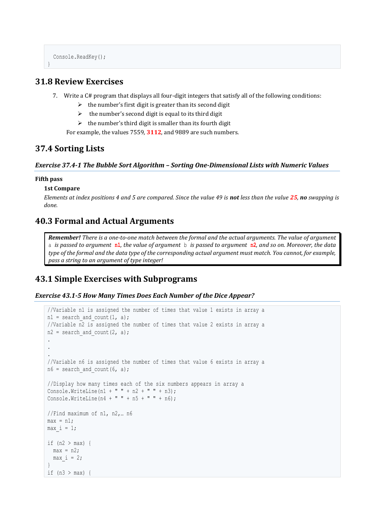```
 Console.ReadKey();
```
## **31.8 Review Exercises**

- 7. Write a C# program that displays all four-digit integers that satisfy all of the following conditions:
	- $\triangleright$  the number's first digit is greater than its second digit
	- $\triangleright$  the number's second digit is equal to its third digit
	- $\triangleright$  the number's third digit is smaller than its fourth digit

For example, the values 7559, **3112**, and 9889 are such numbers.

## **37.4 Sorting Lists**

#### *Exercise 37.4-1 The Bubble Sort Algorithm – Sorting One-Dimensional Lists with Numeric Values*

#### **Fifth pass**

}

#### **1st Compare**

*Elements at index positions 4 and 5 are compared. Since the value 49 is not less than the value 25, no swapping is done.*

## **40.3 Formal and Actual Arguments**

*Remember! There is a one-to-one match between the formal and the actual arguments. The value of argument* a *is passed to argument* **n1***, the value of argument* b *is passed to argument* **n2***, and so on. Moreover, the data type of the formal and the data type of the corresponding actual argument must match. You cannot, for example, pass a string to an argument of type integer!*

# **43.1 Simple Exercises with Subprograms**

```
Exercise 43.1-5 How Many Times Does Each Number of the Dice Appear?
```

```
//Variable n1 is assigned the number of times that value 1 exists in array a
n1 = search and count(1, a);
//Variable n2 is assigned the number of times that value 2 exists in array a
n2 = search and count(2, a);
.
.
.
//Variable n6 is assigned the number of times that value 6 exists in array a
n6 = search and count(6, a);
//Display how many times each of the six numbers appears in array a
Console.WriteLine(n1 + " " + n2 + " " + n3);
Console. WriteLine(n4 + " " + n5 + " " + n6);//Find maximum of n1, n2,… n6
max = n1:
max i = 1;
if (n2 > max) {
 max = n2;max i = 2;}
if (n3 > max) {
```